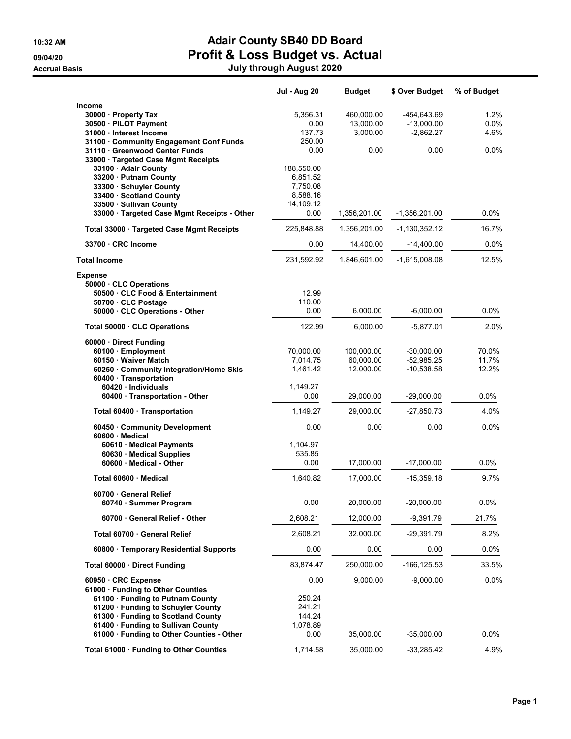# 10:32 AM **Adair County SB40 DD Board** 09/04/20 **Profit & Loss Budget vs. Actual**

Accrual Basis July through August 2020

|                                                                                                              | <b>Jul - Aug 20</b>  | <b>Budget</b>           | \$ Over Budget              | % of Budget     |
|--------------------------------------------------------------------------------------------------------------|----------------------|-------------------------|-----------------------------|-----------------|
| Income<br>30000 · Property Tax<br>30500 · PILOT Payment                                                      | 5,356.31<br>0.00     | 460,000.00<br>13,000.00 | -454,643.69<br>$-13,000.00$ | 1.2%<br>$0.0\%$ |
| 31000 · Interest Income                                                                                      | 137.73               | 3,000.00                | $-2,862.27$                 | 4.6%            |
| 31100 Community Engagement Conf Funds<br>31110 Greenwood Center Funds<br>33000 · Targeted Case Mgmt Receipts | 250.00<br>0.00       | 0.00                    | 0.00                        | $0.0\%$         |
| 33100 · Adair County                                                                                         | 188,550.00           |                         |                             |                 |
| 33200 · Putnam County<br>33300 · Schuyler County                                                             | 6,851.52<br>7,750.08 |                         |                             |                 |
| 33400 · Scotland County                                                                                      | 8,588.16             |                         |                             |                 |
| 33500 · Sullivan County                                                                                      | 14,109.12            |                         |                             |                 |
| 33000 · Targeted Case Mgmt Receipts - Other                                                                  | 0.00                 | 1,356,201.00            | -1,356,201.00               | $0.0\%$         |
| Total 33000 · Targeted Case Mgmt Receipts                                                                    | 225,848.88           | 1,356,201.00            | -1,130,352.12               | 16.7%           |
| 33700 CRC Income                                                                                             | 0.00                 | 14,400.00               | $-14,400.00$                | $0.0\%$         |
| <b>Total Income</b>                                                                                          | 231,592.92           | 1,846,601.00            | $-1,615,008.08$             | 12.5%           |
| <b>Expense</b><br>50000 CLC Operations                                                                       |                      |                         |                             |                 |
| 50500 · CLC Food & Entertainment                                                                             | 12.99                |                         |                             |                 |
| 50700 · CLC Postage                                                                                          | 110.00               |                         |                             |                 |
| 50000 · CLC Operations - Other                                                                               | 0.00                 | 6,000.00                | $-6,000.00$                 | $0.0\%$         |
| Total 50000 CLC Operations                                                                                   | 122.99               | 6.000.00                | -5,877.01                   | 2.0%            |
| 60000 Direct Funding<br>60100 · Employment                                                                   | 70,000.00            | 100,000.00              | $-30,000.00$                | 70.0%           |
| 60150 · Waiver Match                                                                                         | 7,014.75             | 60,000.00               | $-52,985.25$                | 11.7%           |
| 60250 Community Integration/Home Skls                                                                        | 1,461.42             | 12,000.00               | $-10,538.58$                | 12.2%           |
| 60400 Transportation<br>60420 Individuals                                                                    | 1,149.27             |                         |                             |                 |
| 60400 · Transportation - Other                                                                               | 0.00                 | 29,000.00               | $-29,000.00$                | $0.0\%$         |
| Total 60400 Transportation                                                                                   | 1,149.27             | 29,000.00               | -27,850.73                  | 4.0%            |
| 60450 Community Development<br>60600 · Medical                                                               | 0.00                 | 0.00                    | 0.00                        | $0.0\%$         |
| 60610 · Medical Payments                                                                                     | 1,104.97             |                         |                             |                 |
| 60630 Medical Supplies                                                                                       | 535.85               |                         |                             |                 |
| 60600 Medical - Other                                                                                        | 0.00                 | 17,000.00               | $-17,000.00$                | $0.0\%$         |
| Total 60600 Medical                                                                                          | 1,640.82             | 17,000.00               | -15,359.18                  | 9.7%            |
| 60700 General Relief<br>60740 · Summer Program                                                               | 0.00                 | 20,000.00               | $-20,000.00$                | 0.0%            |
| 60700 General Relief - Other                                                                                 | 2,608.21             | 12,000.00               | -9,391.79                   | 21.7%           |
| Total 60700 General Relief                                                                                   | 2,608.21             | 32,000.00               | $-29,391.79$                | 8.2%            |
| 60800 · Temporary Residential Supports                                                                       | 0.00                 | 0.00                    | 0.00                        | 0.0%            |
| Total 60000 Direct Funding                                                                                   | 83,874.47            | 250,000.00              | $-166, 125.53$              | 33.5%           |
| 60950 CRC Expense<br>61000 · Funding to Other Counties<br>61100 · Funding to Putnam County                   | 0.00<br>250.24       | 9,000.00                | $-9,000.00$                 | $0.0\%$         |
| 61200 · Funding to Schuyler County                                                                           | 241.21               |                         |                             |                 |
| 61300 · Funding to Scotland County                                                                           | 144.24               |                         |                             |                 |
| 61400 · Funding to Sullivan County                                                                           | 1,078.89             |                         |                             |                 |
| 61000 · Funding to Other Counties - Other                                                                    | 0.00                 | 35,000.00               | $-35,000.00$                | $0.0\%$         |
| Total 61000 · Funding to Other Counties                                                                      | 1,714.58             | 35,000.00               | $-33,285.42$                | 4.9%            |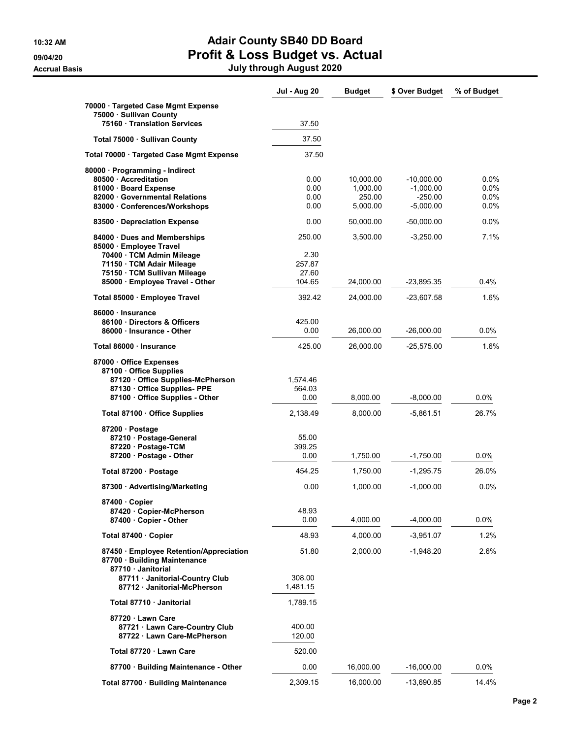## 10:32 AM **Adair County SB40 DD Board** 09/04/20 **Profit & Loss Budget vs. Actual**

Accrual Basis July through August 2020

|                                                                                                                                                 | <b>Jul - Aug 20</b>          | <b>Budget</b>                               | \$ Over Budget                                          | % of Budget                           |
|-------------------------------------------------------------------------------------------------------------------------------------------------|------------------------------|---------------------------------------------|---------------------------------------------------------|---------------------------------------|
| 70000 · Targeted Case Mgmt Expense<br>75000 · Sullivan County                                                                                   |                              |                                             |                                                         |                                       |
| 75160 Translation Services                                                                                                                      | 37.50                        |                                             |                                                         |                                       |
| Total 75000 · Sullivan County                                                                                                                   | 37.50                        |                                             |                                                         |                                       |
| Total 70000 Targeted Case Mgmt Expense                                                                                                          | 37.50                        |                                             |                                                         |                                       |
| 80000 · Programming - Indirect<br>80500 · Accreditation<br>81000 · Board Expense<br>82000 Governmental Relations<br>83000 Conferences/Workshops | 0.00<br>0.00<br>0.00<br>0.00 | 10,000.00<br>1,000.00<br>250.00<br>5,000.00 | $-10,000.00$<br>$-1,000.00$<br>$-250.00$<br>$-5,000.00$ | $0.0\%$<br>$0.0\%$<br>0.0%<br>$0.0\%$ |
| 83500 Depreciation Expense                                                                                                                      | 0.00                         | 50,000.00                                   | $-50,000.00$                                            | $0.0\%$                               |
| 84000 Dues and Memberships<br>85000 · Employee Travel<br>70400 · TCM Admin Mileage                                                              | 250.00<br>2.30               | 3,500.00                                    | $-3,250.00$                                             | 7.1%                                  |
| 71150 · TCM Adair Mileage<br>75150 · TCM Sullivan Mileage<br>85000 · Employee Travel - Other                                                    | 257.87<br>27.60<br>104.65    | 24,000.00                                   | $-23,895.35$                                            | 0.4%                                  |
| Total 85000 · Employee Travel                                                                                                                   | 392.42                       | 24,000.00                                   | $-23,607.58$                                            | 1.6%                                  |
| 86000 · Insurance<br>86100 Directors & Officers<br>86000 · Insurance - Other                                                                    | 425.00<br>0.00               | 26,000.00                                   | $-26,000.00$                                            | 0.0%                                  |
| Total 86000 · Insurance                                                                                                                         | 425.00                       | 26,000.00                                   | $-25,575.00$                                            | 1.6%                                  |
| 87000 Office Expenses<br>87100 · Office Supplies<br>87120 Office Supplies-McPherson<br>87130 · Office Supplies- PPE                             | 1,574.46<br>564.03           |                                             |                                                         |                                       |
| 87100 Office Supplies - Other                                                                                                                   | 0.00                         | 8,000.00                                    | $-8,000.00$                                             | 0.0%                                  |
| Total 87100 · Office Supplies                                                                                                                   | 2,138.49                     | 8,000.00                                    | -5,861.51                                               | 26.7%                                 |
| 87200 · Postage<br>87210 · Postage-General<br>87220 · Postage-TCM<br>87200 · Postage - Other                                                    | 55.00<br>399.25<br>0.00      | 1,750.00                                    | $-1,750.00$                                             | $0.0\%$                               |
| Total 87200 · Postage                                                                                                                           | 454.25                       | 1,750.00                                    | $-1,295.75$                                             | 26.0%                                 |
| 87300 Advertising/Marketing                                                                                                                     | 0.00                         | 1,000.00                                    | $-1,000.00$                                             | $0.0\%$                               |
| 87400 Copier<br>87420 · Copier-McPherson<br>87400 · Copier - Other                                                                              | 48.93<br>0.00                | 4,000.00                                    | $-4,000.00$                                             | $0.0\%$                               |
| Total 87400 Copier                                                                                                                              | 48.93                        | 4,000.00                                    | $-3,951.07$                                             | 1.2%                                  |
| 87450 Employee Retention/Appreciation<br>87700 · Building Maintenance<br>87710 · Janitorial                                                     | 51.80                        | 2,000.00                                    | -1,948.20                                               | 2.6%                                  |
| 87711 Janitorial-Country Club<br>87712 Janitorial-McPherson                                                                                     | 308.00<br>1,481.15           |                                             |                                                         |                                       |
| Total 87710 · Janitorial                                                                                                                        | 1,789.15                     |                                             |                                                         |                                       |
| 87720 · Lawn Care<br>87721 · Lawn Care-Country Club<br>87722 Lawn Care-McPherson                                                                | 400.00<br>120.00             |                                             |                                                         |                                       |
| Total 87720 · Lawn Care                                                                                                                         | 520.00                       |                                             |                                                         |                                       |
| 87700 · Building Maintenance - Other                                                                                                            | 0.00                         | 16,000.00                                   | $-16,000.00$                                            | $0.0\%$                               |
| Total 87700 · Building Maintenance                                                                                                              | 2,309.15                     | 16,000.00                                   | -13,690.85                                              | 14.4%                                 |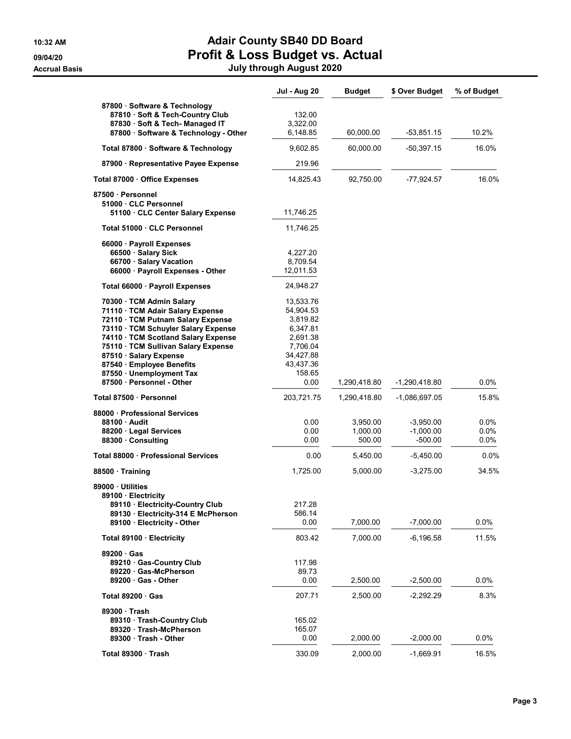### 10:32 AM **Adair County SB40 DD Board** 09/04/20 **Profit & Loss Budget vs. Actual** Accrual Basis July through August 2020

|                                                                                                      | <b>Jul - Aug 20</b>    | <b>Budget</b> | \$ Over Budget | % of Budget |
|------------------------------------------------------------------------------------------------------|------------------------|---------------|----------------|-------------|
| 87800 · Software & Technology<br>87810 · Soft & Tech-Country Club<br>87830 · Soft & Tech- Managed IT | 132.00<br>3,322.00     |               |                |             |
| 87800 · Software & Technology - Other                                                                | 6,148.85               | 60,000.00     | $-53,851.15$   | 10.2%       |
| Total 87800 · Software & Technology                                                                  | 9,602.85               | 60,000.00     | -50,397.15     | 16.0%       |
| 87900 · Representative Payee Expense                                                                 | 219.96                 |               |                |             |
| Total 87000 Office Expenses                                                                          | 14,825.43              | 92,750.00     | -77.924.57     | 16.0%       |
| 87500 · Personnel                                                                                    |                        |               |                |             |
| 51000 · CLC Personnel<br>51100 CLC Center Salary Expense                                             | 11,746.25              |               |                |             |
| Total 51000 CLC Personnel                                                                            | 11,746.25              |               |                |             |
| 66000 · Payroll Expenses                                                                             |                        |               |                |             |
| 66500 · Salary Sick                                                                                  | 4,227.20               |               |                |             |
| 66700 · Salary Vacation                                                                              | 8,709.54               |               |                |             |
| 66000 · Payroll Expenses - Other                                                                     | 12,011.53              |               |                |             |
| Total 66000 · Payroll Expenses                                                                       | 24,948.27              |               |                |             |
| 70300 · TCM Admin Salary                                                                             | 13,533.76              |               |                |             |
| 71110 · TCM Adair Salary Expense                                                                     | 54,904.53              |               |                |             |
| 72110 · TCM Putnam Salary Expense                                                                    | 3,819.82               |               |                |             |
| 73110 · TCM Schuyler Salary Expense                                                                  | 6,347.81               |               |                |             |
| 74110 · TCM Scotland Salary Expense                                                                  | 2,691.38               |               |                |             |
| 75110 · TCM Sullivan Salary Expense                                                                  | 7,706.04               |               |                |             |
| 87510 · Salary Expense<br>87540 · Employee Benefits                                                  | 34,427.88<br>43,437.36 |               |                |             |
| 87550 Unemployment Tax                                                                               | 158.65                 |               |                |             |
| 87500 · Personnel - Other                                                                            | 0.00                   | 1,290,418.80  | -1,290,418.80  | $0.0\%$     |
| Total 87500 · Personnel                                                                              | 203,721.75             | 1,290,418.80  | -1,086,697.05  | 15.8%       |
| 88000 · Professional Services                                                                        |                        |               |                |             |
| 88100 · Audit                                                                                        | 0.00                   | 3,950.00      | $-3,950.00$    | 0.0%        |
| 88200 · Legal Services                                                                               | 0.00                   | 1,000.00      | $-1,000.00$    | $0.0\%$     |
| 88300 Consulting                                                                                     | 0.00                   | 500.00        | $-500.00$      | 0.0%        |
| Total 88000 Professional Services                                                                    | 0.00                   | 5,450.00      | $-5,450.00$    | $0.0\%$     |
| 88500 Training                                                                                       | 1,725.00               | 5,000.00      | $-3,275.00$    | 34.5%       |
| 89000 Utilities                                                                                      |                        |               |                |             |
| 89100 · Electricity<br>89110 · Electricity-Country Club                                              | 217.28                 |               |                |             |
| 89130 · Electricity-314 E McPherson                                                                  | 586.14                 |               |                |             |
| 89100 · Electricity - Other                                                                          | 0.00                   | 7,000.00      | $-7.000.00$    | 0.0%        |
| Total 89100 Electricity                                                                              | 803.42                 | 7,000.00      | $-6, 196.58$   | 11.5%       |
| 89200 Gas                                                                                            |                        |               |                |             |
| 89210 Gas-Country Club                                                                               | 117.98                 |               |                |             |
| 89220 Gas-McPherson                                                                                  | 89.73                  |               |                |             |
| $89200 \cdot Gas$ - Other                                                                            | 0.00                   | 2,500.00      | $-2,500.00$    | 0.0%        |
| Total $89200 \cdot Gas$                                                                              | 207.71                 | 2,500.00      | $-2,292.29$    | 8.3%        |
| 89300 Trash                                                                                          |                        |               |                |             |
| 89310 Trash-Country Club                                                                             | 165.02                 |               |                |             |
| 89320 Trash-McPherson<br>89300 Trash - Other                                                         | 165.07                 |               |                |             |
|                                                                                                      | 0.00                   | 2,000.00      | $-2,000.00$    | 0.0%        |
| Total 89300 Trash                                                                                    | 330.09                 | 2,000.00      | $-1,669.91$    | 16.5%       |